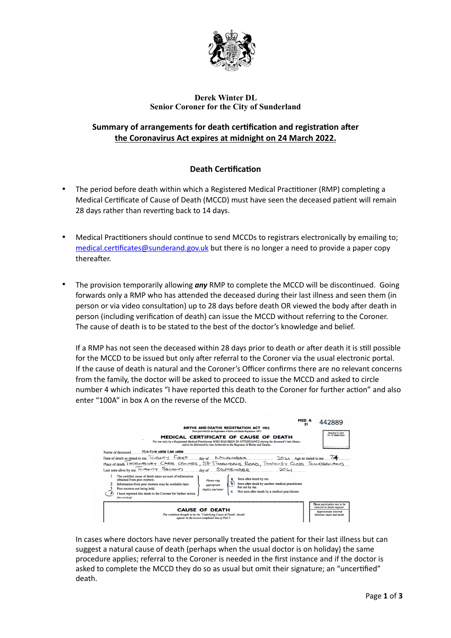

### **Derek Winter DL Senior Coroner for the City of Sunderland**

# **Summary of arrangements for death certification and registration after the Coronavirus Act expires at midnight on 24 March 2022.**

## **Death Certification**

- The period before death within which a Registered Medical Practitioner (RMP) completing a Medical Certificate of Cause of Death (MCCD) must have seen the deceased patient will remain 28 days rather than reverting back to 14 days.
- Medical Practitioners should continue to send MCCDs to registrars electronically by emailing to; [medical.certificates@sunderand.gov.uk](mailto:medical.certificates@sunderand.gov.uk) but there is no longer a need to provide a paper copy thereafter.
- The provision temporarily allowing *any* RMP to complete the MCCD will be discontinued. Going forwards only a RMP who has attended the deceased during their last illness and seen them (in person or via video consultation) up to 28 days before death OR viewed the body after death in person (including verification of death) can issue the MCCD without referring to the Coroner. The cause of death is to be stated to the best of the doctor's knowledge and belief.

If a RMP has not seen the deceased within 28 days prior to death or after death it is still possible for the MCCD to be issued but only after referral to the Coroner via the usual electronic portal. If the cause of death is natural and the Coroner's Officer confirms there are no relevant concerns from the family, the doctor will be asked to proceed to issue the MCCD and asked to circle number 4 which indicates "I have reported this death to the Coroner for further action" and also enter "100A" in box A on the reverse of the MCCD.

| <b>BIRTHS AND DEATHS REGISTRATION ACT 1953</b>                                                                                                                                                                                           | MED A<br>м | 442889                                            |
|------------------------------------------------------------------------------------------------------------------------------------------------------------------------------------------------------------------------------------------|------------|---------------------------------------------------|
| (Form prescribed by the Registration of Births and Deaths Regulations 1987)                                                                                                                                                              |            | Registrar to enter                                |
| MEDICAL CERTIFICATE OF CAUSE OF DEATH<br>For use only by a Registered Medical Practitioner WHO HAS BEEN IN ATTENDANCE during the deceased's last illness,<br>and to be delivered by him forthwith to the Registrar of Births and Deaths. |            | No. of Death Entry                                |
| Mrs First name Last name<br>Name of deceased.                                                                                                                                                                                            |            |                                                   |
| Date of death as stated to me. Conservative CREST CREST day of CONSECT CONSECT CONSECT CONSECT CONSECT CONSECT CONSECT CONSECT CONSECT CONSECT CONSECT CONSECT CONSECT CONSECT CONSECT CONSECT CONSECT CONSECT CONSECT CONSECT           |            |                                                   |
| Place of death (HORLEGUEY CARE Churches, 58 Thore parks Road, Thore by Close Successions)                                                                                                                                                |            |                                                   |
| Last seen alive by me RUSAUTY SECOMD day of SEPTEMBER                                                                                                                                                                                    |            |                                                   |
| The certified cause of death takes account of information                                                                                                                                                                                |            |                                                   |
| Seen after death by me.<br>obtained from post-mortem.<br><b>Please ring</b><br>Seen after death by another medical practitioner                                                                                                          |            |                                                   |
| Information from post-mortem may be available later.<br>appropriate<br>but not by me.<br>Post-mortem not being held.                                                                                                                     |            |                                                   |
| digit(s) and letter<br>Not seen after death by a medical practitioner.<br>I have reported this death to the Coroner for further action.<br><b>See overleaf!</b>                                                                          |            |                                                   |
|                                                                                                                                                                                                                                          |            |                                                   |
|                                                                                                                                                                                                                                          |            | These particulars not to be                       |
| <b>CAUSE OF DEATH</b><br>The condition thought to be the 'Underlying Cause of Death' should                                                                                                                                              |            | entered in death register<br>Approximate interval |

In cases where doctors have never personally treated the patient for their last illness but can suggest a natural cause of death (perhaps when the usual doctor is on holiday) the same procedure applies; referral to the Coroner is needed in the first instance and if the doctor is asked to complete the MCCD they do so as usual but omit their signature; an "uncertified" death.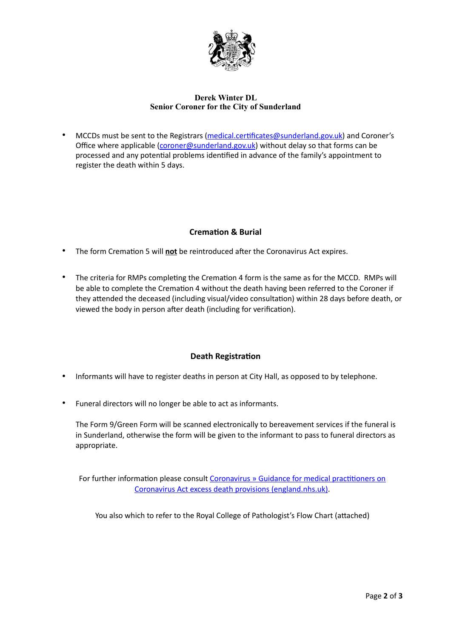

## **Derek Winter DL Senior Coroner for the City of Sunderland**

• MCCDs must be sent to the Registrars ([medical.certificates@sunderland.gov.uk\)](mailto:medical.certificates@sunderland.gov.uk) and Coroner's Office where applicable ([coroner@sunderland.gov.uk](mailto:coroner@sunderland.gov.uk)) without delay so that forms can be processed and any potential problems identified in advance of the family's appointment to register the death within 5 days.

## **Cremation & Burial**

- The form Cremation 5 will **not** be reintroduced after the Coronavirus Act expires.
- The criteria for RMPs completing the Cremation 4 form is the same as for the MCCD. RMPs will be able to complete the Cremation 4 without the death having been referred to the Coroner if they attended the deceased (including visual/video consultation) within 28 days before death, or viewed the body in person after death (including for verification).

## **Death Registration**

- Informants will have to register deaths in person at City Hall, as opposed to by telephone.
- Funeral directors will no longer be able to act as informants.

The Form 9/Green Form will be scanned electronically to bereavement services if the funeral is in Sunderland, otherwise the form will be given to the informant to pass to funeral directors as appropriate.

For further infor[mation please consult Coronavirus » Guidance for medical practitioners on](https://gbr01.safelinks.protection.outlook.com/?url=https://www.england.nhs.uk/coronavirus/publication/guidance-for-medical-practitioners-on-coronavirus-act-excess-death-provisions/&data=04%257C01%257Crachael.griffin@bcpcouncil.gov.uk%257C17c573ccdeeb4b54a42a08d9fc479176%257Cc946331335e140e4944add798ec9e488%257C1%257C0%257C637818206570702531%257CUnknown%257CTWFpbGZsb3d8eyJWIjoiMC4wLjAwMDAiLCJQIjoiV2luMzIiLCJBTiI6Ik1haWwiLCJXVCI6Mn0=%257C3000&sdata=5BrQJA91pEZfq+xCJy2FZHRfFv/5KmAnEne5oZ3WpnI=&reserved=0)  [Coronavirus Act excess death provisions \(england.nhs.uk\).](https://gbr01.safelinks.protection.outlook.com/?url=https://www.england.nhs.uk/coronavirus/publication/guidance-for-medical-practitioners-on-coronavirus-act-excess-death-provisions/&data=04%257C01%257Crachael.griffin@bcpcouncil.gov.uk%257C17c573ccdeeb4b54a42a08d9fc479176%257Cc946331335e140e4944add798ec9e488%257C1%257C0%257C637818206570702531%257CUnknown%257CTWFpbGZsb3d8eyJWIjoiMC4wLjAwMDAiLCJQIjoiV2luMzIiLCJBTiI6Ik1haWwiLCJXVCI6Mn0=%257C3000&sdata=5BrQJA91pEZfq+xCJy2FZHRfFv/5KmAnEne5oZ3WpnI=&reserved=0)

You also which to refer to the Royal College of Pathologist's Flow Chart (attached)